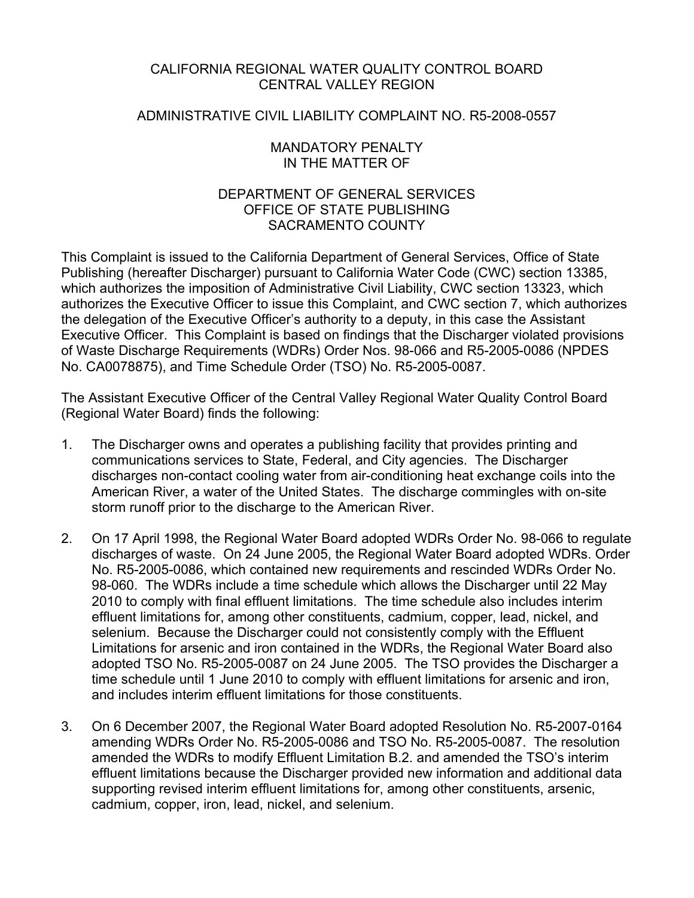### CALIFORNIA REGIONAL WATER QUALITY CONTROL BOARD CENTRAL VALLEY REGION

### ADMINISTRATIVE CIVIL LIABILITY COMPLAINT NO. R5-2008-0557

### MANDATORY PENALTY IN THE MATTER OF

### DEPARTMENT OF GENERAL SERVICES OFFICE OF STATE PUBLISHING SACRAMENTO COUNTY

This Complaint is issued to the California Department of General Services, Office of State Publishing (hereafter Discharger) pursuant to California Water Code (CWC) section 13385, which authorizes the imposition of Administrative Civil Liability, CWC section 13323, which authorizes the Executive Officer to issue this Complaint, and CWC section 7, which authorizes the delegation of the Executive Officer's authority to a deputy, in this case the Assistant Executive Officer. This Complaint is based on findings that the Discharger violated provisions of Waste Discharge Requirements (WDRs) Order Nos. 98-066 and R5-2005-0086 (NPDES No. CA0078875), and Time Schedule Order (TSO) No. R5-2005-0087.

The Assistant Executive Officer of the Central Valley Regional Water Quality Control Board (Regional Water Board) finds the following:

- 1. The Discharger owns and operates a publishing facility that provides printing and communications services to State, Federal, and City agencies. The Discharger discharges non-contact cooling water from air-conditioning heat exchange coils into the American River, a water of the United States. The discharge commingles with on-site storm runoff prior to the discharge to the American River.
- 2. On 17 April 1998, the Regional Water Board adopted WDRs Order No. 98-066 to regulate discharges of waste. On 24 June 2005, the Regional Water Board adopted WDRs. Order No. R5-2005-0086, which contained new requirements and rescinded WDRs Order No. 98-060. The WDRs include a time schedule which allows the Discharger until 22 May 2010 to comply with final effluent limitations. The time schedule also includes interim effluent limitations for, among other constituents, cadmium, copper, lead, nickel, and selenium. Because the Discharger could not consistently comply with the Effluent Limitations for arsenic and iron contained in the WDRs, the Regional Water Board also adopted TSO No. R5-2005-0087 on 24 June 2005. The TSO provides the Discharger a time schedule until 1 June 2010 to comply with effluent limitations for arsenic and iron, and includes interim effluent limitations for those constituents.
- 3. On 6 December 2007, the Regional Water Board adopted Resolution No. R5-2007-0164 amending WDRs Order No. R5-2005-0086 and TSO No. R5-2005-0087. The resolution amended the WDRs to modify Effluent Limitation B.2. and amended the TSO's interim effluent limitations because the Discharger provided new information and additional data supporting revised interim effluent limitations for, among other constituents, arsenic, cadmium, copper, iron, lead, nickel, and selenium.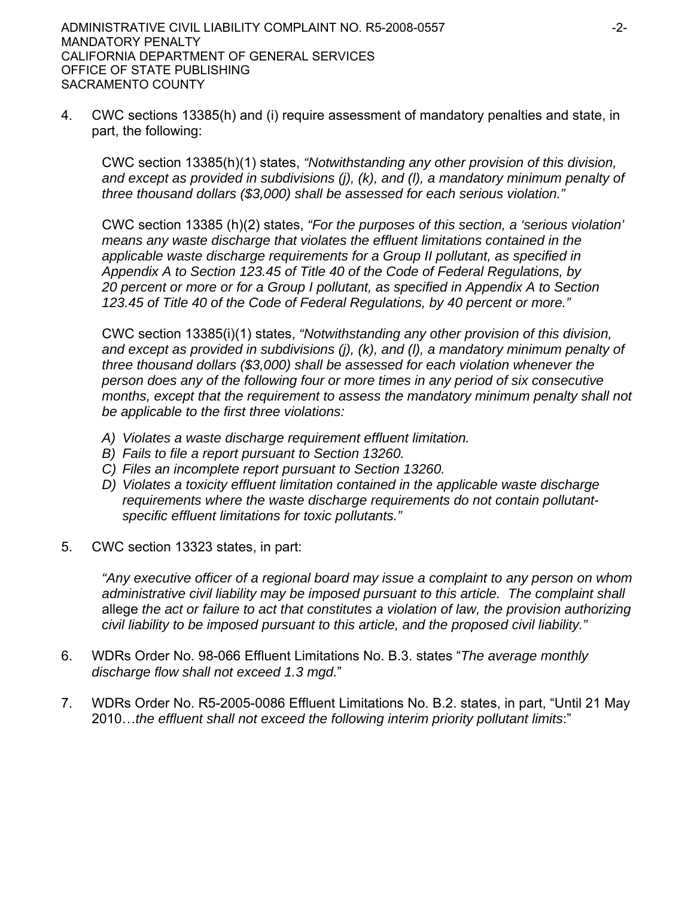4. CWC sections 13385(h) and (i) require assessment of mandatory penalties and state, in part, the following:

CWC section 13385(h)(1) states, *"Notwithstanding any other provision of this division, and except as provided in subdivisions (j), (k), and (l), a mandatory minimum penalty of three thousand dollars (\$3,000) shall be assessed for each serious violation."* 

CWC section 13385 (h)(2) states, *"For the purposes of this section, a 'serious violation' means any waste discharge that violates the effluent limitations contained in the applicable waste discharge requirements for a Group II pollutant, as specified in Appendix A to Section 123.45 of Title 40 of the Code of Federal Regulations, by 20 percent or more or for a Group I pollutant, as specified in Appendix A to Section 123.45 of Title 40 of the Code of Federal Regulations, by 40 percent or more."*

CWC section 13385(i)(1) states, *"Notwithstanding any other provision of this division, and except as provided in subdivisions (j), (k), and (l), a mandatory minimum penalty of three thousand dollars (\$3,000) shall be assessed for each violation whenever the person does any of the following four or more times in any period of six consecutive months, except that the requirement to assess the mandatory minimum penalty shall not be applicable to the first three violations:*

- *A) Violates a waste discharge requirement effluent limitation.*
- *B) Fails to file a report pursuant to Section 13260.*
- *C) Files an incomplete report pursuant to Section 13260.*
- *D) Violates a toxicity effluent limitation contained in the applicable waste discharge requirements where the waste discharge requirements do not contain pollutantspecific effluent limitations for toxic pollutants."*
- 5. CWC section 13323 states, in part:

*"Any executive officer of a regional board may issue a complaint to any person on whom administrative civil liability may be imposed pursuant to this article. The complaint shall*  allege *the act or failure to act that constitutes a violation of law, the provision authorizing civil liability to be imposed pursuant to this article, and the proposed civil liability."*

- 6. WDRs Order No. 98-066 Effluent Limitations No. B.3. states "*The average monthly discharge flow shall not exceed 1.3 mgd.*"
- 7. WDRs Order No. R5-2005-0086 Effluent Limitations No. B.2. states, in part, "Until 21 May 2010…*the effluent shall not exceed the following interim priority pollutant limits*:"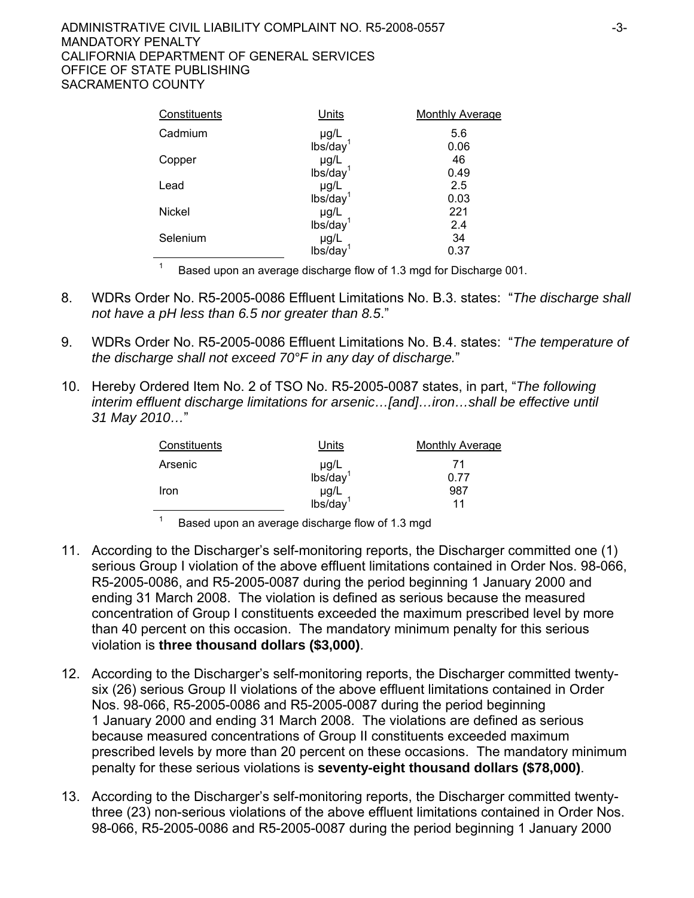#### ADMINISTRATIVE CIVIL LIABILITY COMPLAINT NO. R5-2008-0557  $-3$ -3-MANDATORY PENALTY CALIFORNIA DEPARTMENT OF GENERAL SERVICES OFFICE OF STATE PUBLISHING SACRAMENTO COUNTY

| Constituents  | Units                          | <b>Monthly Average</b> |
|---------------|--------------------------------|------------------------|
| Cadmium       | $\mu g/L$ lbs/day <sup>1</sup> | 5.6                    |
|               |                                | 0.06                   |
| Copper        | $\mu g/L$ lbs/day <sup>1</sup> | 46                     |
|               |                                | 0.49                   |
| Lead          |                                | 2.5                    |
|               | $\mu g/L$ lbs/day <sup>1</sup> | 0.03                   |
| <b>Nickel</b> |                                | 221                    |
|               | $\mu g/L$ lbs/day <sup>1</sup> | 2.4                    |
| Selenium      | µg/L                           | 34                     |
|               | lbs/day                        | 0.37                   |

1 Based upon an average discharge flow of 1.3 mgd for Discharge 001.

- 8. WDRs Order No. R5-2005-0086 Effluent Limitations No. B.3. states: "*The discharge shall not have a pH less than 6.5 nor greater than 8.5*."
- 9. WDRs Order No. R5-2005-0086 Effluent Limitations No. B.4. states: "*The temperature of the discharge shall not exceed 70°F in any day of discharge.*"
- 10. Hereby Ordered Item No. 2 of TSO No. R5-2005-0087 states, in part, "*The following interim effluent discharge limitations for arsenic…[and]…iron…shall be effective until 31 May 2010…*"

| Constituents | Units                             | <b>Monthly Average</b> |
|--------------|-----------------------------------|------------------------|
| Arsenic      | $\mu g/L$ lbs/day <sup>1</sup>    | -71                    |
|              |                                   | 0.77                   |
| Iron         |                                   | 987                    |
|              | $\mu$ g/L<br>lbs/day <sup>1</sup> | 11                     |
|              |                                   |                        |

Based upon an average discharge flow of 1.3 mgd

1

- 11. According to the Discharger's self-monitoring reports, the Discharger committed one (1) serious Group I violation of the above effluent limitations contained in Order Nos. 98-066, R5-2005-0086, and R5-2005-0087 during the period beginning 1 January 2000 and ending 31 March 2008. The violation is defined as serious because the measured concentration of Group I constituents exceeded the maximum prescribed level by more than 40 percent on this occasion. The mandatory minimum penalty for this serious violation is **three thousand dollars (\$3,000)**.
- 12. According to the Discharger's self-monitoring reports, the Discharger committed twentysix (26) serious Group II violations of the above effluent limitations contained in Order Nos. 98-066, R5-2005-0086 and R5-2005-0087 during the period beginning 1 January 2000 and ending 31 March 2008. The violations are defined as serious because measured concentrations of Group II constituents exceeded maximum prescribed levels by more than 20 percent on these occasions. The mandatory minimum penalty for these serious violations is **seventy-eight thousand dollars (\$78,000)**.
- 13. According to the Discharger's self-monitoring reports, the Discharger committed twentythree (23) non-serious violations of the above effluent limitations contained in Order Nos. 98-066, R5-2005-0086 and R5-2005-0087 during the period beginning 1 January 2000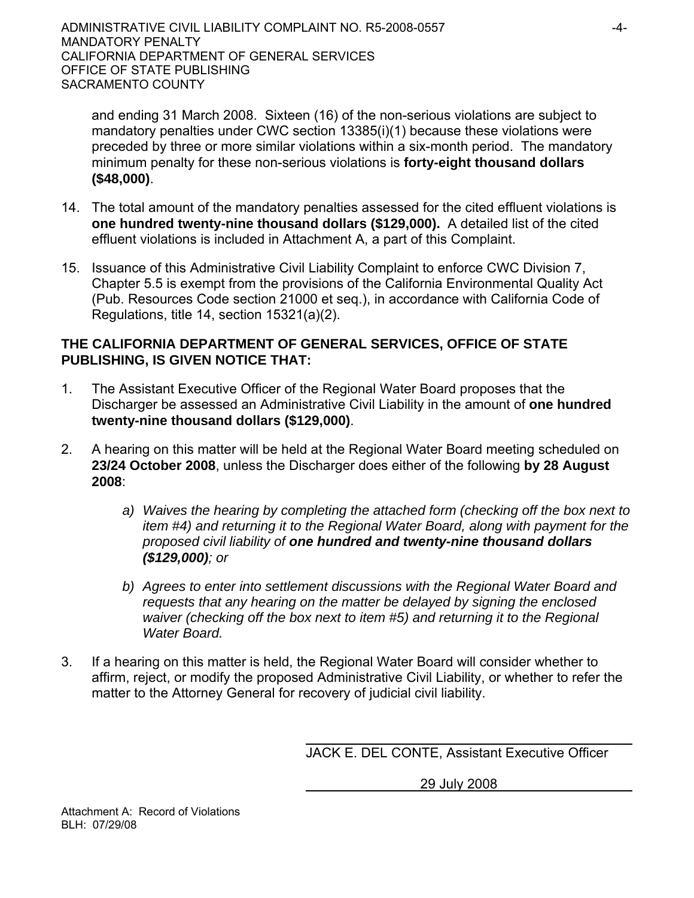and ending 31 March 2008. Sixteen (16) of the non-serious violations are subject to mandatory penalties under CWC section 13385(i)(1) because these violations were preceded by three or more similar violations within a six-month period. The mandatory minimum penalty for these non-serious violations is **forty-eight thousand dollars (\$48,000)**.

- 14. The total amount of the mandatory penalties assessed for the cited effluent violations is **one hundred twenty-nine thousand dollars (\$129,000).** A detailed list of the cited effluent violations is included in Attachment A, a part of this Complaint.
- 15. Issuance of this Administrative Civil Liability Complaint to enforce CWC Division 7, Chapter 5.5 is exempt from the provisions of the California Environmental Quality Act (Pub. Resources Code section 21000 et seq.), in accordance with California Code of Regulations, title 14, section 15321(a)(2).

## **THE CALIFORNIA DEPARTMENT OF GENERAL SERVICES, OFFICE OF STATE PUBLISHING, IS GIVEN NOTICE THAT:**

- 1. The Assistant Executive Officer of the Regional Water Board proposes that the Discharger be assessed an Administrative Civil Liability in the amount of **one hundred twenty-nine thousand dollars (\$129,000)**.
- 2. A hearing on this matter will be held at the Regional Water Board meeting scheduled on **23/24 October 2008**, unless the Discharger does either of the following **by 28 August 2008**:
	- *a) Waives the hearing by completing the attached form (checking off the box next to item #4) and returning it to the Regional Water Board, along with payment for the proposed civil liability of one hundred and twenty-nine thousand dollars (\$129,000); or*
	- *b) Agrees to enter into settlement discussions with the Regional Water Board and requests that any hearing on the matter be delayed by signing the enclosed waiver (checking off the box next to item #5) and returning it to the Regional Water Board.*
- 3. If a hearing on this matter is held, the Regional Water Board will consider whether to affirm, reject, or modify the proposed Administrative Civil Liability, or whether to refer the matter to the Attorney General for recovery of judicial civil liability.

JACK E. DEL CONTE, Assistant Executive Officer

29 July 2008

Attachment A: Record of Violations BLH: 07/29/08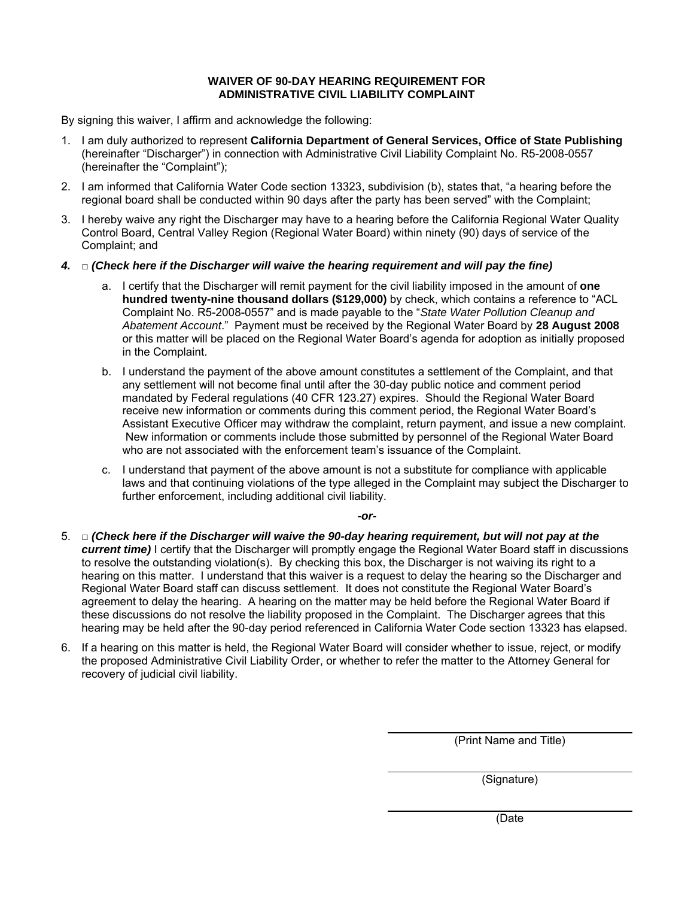#### **WAIVER OF 90-DAY HEARING REQUIREMENT FOR ADMINISTRATIVE CIVIL LIABILITY COMPLAINT**

By signing this waiver, I affirm and acknowledge the following:

- 1. I am duly authorized to represent **California Department of General Services, Office of State Publishing** (hereinafter "Discharger") in connection with Administrative Civil Liability Complaint No. R5-2008-0557 (hereinafter the "Complaint");
- 2. I am informed that California Water Code section 13323, subdivision (b), states that, "a hearing before the regional board shall be conducted within 90 days after the party has been served" with the Complaint;
- 3. I hereby waive any right the Discharger may have to a hearing before the California Regional Water Quality Control Board, Central Valley Region (Regional Water Board) within ninety (90) days of service of the Complaint; and
- *4.* □ *(Check here if the Discharger will waive the hearing requirement and will pay the fine)* 
	- a. I certify that the Discharger will remit payment for the civil liability imposed in the amount of **one hundred twenty-nine thousand dollars (\$129,000)** by check, which contains a reference to "ACL Complaint No. R5-2008-0557" and is made payable to the "*State Water Pollution Cleanup and Abatement Account*." Payment must be received by the Regional Water Board by **28 August 2008** or this matter will be placed on the Regional Water Board's agenda for adoption as initially proposed in the Complaint.
	- b. I understand the payment of the above amount constitutes a settlement of the Complaint, and that any settlement will not become final until after the 30-day public notice and comment period mandated by Federal regulations (40 CFR 123.27) expires. Should the Regional Water Board receive new information or comments during this comment period, the Regional Water Board's Assistant Executive Officer may withdraw the complaint, return payment, and issue a new complaint. New information or comments include those submitted by personnel of the Regional Water Board who are not associated with the enforcement team's issuance of the Complaint.
	- c. I understand that payment of the above amount is not a substitute for compliance with applicable laws and that continuing violations of the type alleged in the Complaint may subject the Discharger to further enforcement, including additional civil liability.

*-or-*

- 5. □ *(Check here if the Discharger will waive the 90-day hearing requirement, but will not pay at the current time)* I certify that the Discharger will promptly engage the Regional Water Board staff in discussions to resolve the outstanding violation(s). By checking this box, the Discharger is not waiving its right to a hearing on this matter. I understand that this waiver is a request to delay the hearing so the Discharger and Regional Water Board staff can discuss settlement. It does not constitute the Regional Water Board's agreement to delay the hearing. A hearing on the matter may be held before the Regional Water Board if these discussions do not resolve the liability proposed in the Complaint. The Discharger agrees that this hearing may be held after the 90-day period referenced in California Water Code section 13323 has elapsed.
- 6. If a hearing on this matter is held, the Regional Water Board will consider whether to issue, reject, or modify the proposed Administrative Civil Liability Order, or whether to refer the matter to the Attorney General for recovery of judicial civil liability.

(Print Name and Title)

(Signature)

(Date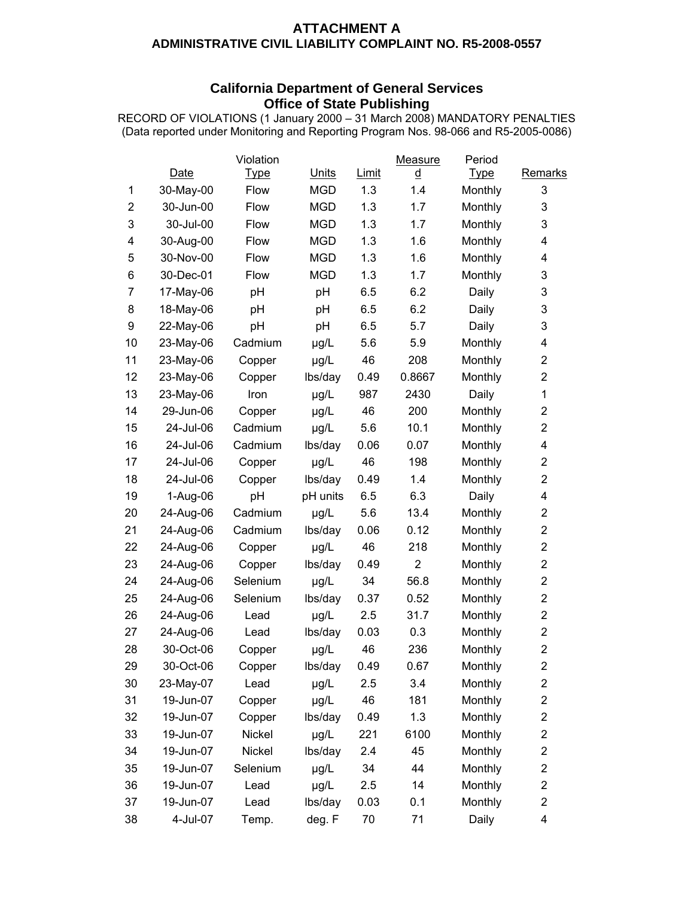### **ATTACHMENT A ADMINISTRATIVE CIVIL LIABILITY COMPLAINT NO. R5-2008-0557**

### **California Department of General Services Office of State Publishing**

RECORD OF VIOLATIONS (1 January 2000 – 31 March 2008) MANDATORY PENALTIES (Data reported under Monitoring and Reporting Program Nos. 98-066 and R5-2005-0086)

|                |           | Violation   |              |       | Measure        | Period      |                         |
|----------------|-----------|-------------|--------------|-------|----------------|-------------|-------------------------|
|                | Date      | <u>Type</u> | <b>Units</b> | Limit | <u>d</u>       | <u>Type</u> | Remarks                 |
| 1              | 30-May-00 | Flow        | <b>MGD</b>   | 1.3   | 1.4            | Monthly     | 3                       |
| $\overline{2}$ | 30-Jun-00 | Flow        | <b>MGD</b>   | 1.3   | 1.7            | Monthly     | 3                       |
| 3              | 30-Jul-00 | Flow        | <b>MGD</b>   | 1.3   | 1.7            | Monthly     | 3                       |
| 4              | 30-Aug-00 | Flow        | <b>MGD</b>   | 1.3   | 1.6            | Monthly     | 4                       |
| 5              | 30-Nov-00 | Flow        | <b>MGD</b>   | 1.3   | 1.6            | Monthly     | 4                       |
| 6              | 30-Dec-01 | Flow        | <b>MGD</b>   | 1.3   | 1.7            | Monthly     | 3                       |
| $\overline{7}$ | 17-May-06 | pH          | pH           | 6.5   | 6.2            | Daily       | 3                       |
| 8              | 18-May-06 | pH          | pH           | 6.5   | 6.2            | Daily       | 3                       |
| 9              | 22-May-06 | pH          | pH           | 6.5   | 5.7            | Daily       | 3                       |
| 10             | 23-May-06 | Cadmium     | µg/L         | 5.6   | 5.9            | Monthly     | 4                       |
| 11             | 23-May-06 | Copper      | µg/L         | 46    | 208            | Monthly     | $\overline{\mathbf{c}}$ |
| 12             | 23-May-06 | Copper      | lbs/day      | 0.49  | 0.8667         | Monthly     | $\overline{2}$          |
| 13             | 23-May-06 | Iron        | µg/L         | 987   | 2430           | Daily       | $\mathbf{1}$            |
| 14             | 29-Jun-06 | Copper      | µg/L         | 46    | 200            | Monthly     | $\overline{\mathbf{c}}$ |
| 15             | 24-Jul-06 | Cadmium     | µg/L         | 5.6   | 10.1           | Monthly     | $\overline{2}$          |
| 16             | 24-Jul-06 | Cadmium     | lbs/day      | 0.06  | 0.07           | Monthly     | $\overline{\mathbf{4}}$ |
| 17             | 24-Jul-06 | Copper      | µg/L         | 46    | 198            | Monthly     | $\overline{2}$          |
| 18             | 24-Jul-06 | Copper      | lbs/day      | 0.49  | 1.4            | Monthly     | $\overline{c}$          |
| 19             | 1-Aug-06  | pH          | pH units     | 6.5   | 6.3            | Daily       | 4                       |
| 20             | 24-Aug-06 | Cadmium     | µg/L         | 5.6   | 13.4           | Monthly     | $\overline{\mathbf{c}}$ |
| 21             | 24-Aug-06 | Cadmium     | lbs/day      | 0.06  | 0.12           | Monthly     | $\overline{\mathbf{c}}$ |
| 22             | 24-Aug-06 | Copper      | µg/L         | 46    | 218            | Monthly     | $\overline{c}$          |
| 23             | 24-Aug-06 | Copper      | lbs/day      | 0.49  | $\overline{2}$ | Monthly     | $\overline{c}$          |
| 24             | 24-Aug-06 | Selenium    | µg/L         | 34    | 56.8           | Monthly     | $\overline{c}$          |
| 25             | 24-Aug-06 | Selenium    | lbs/day      | 0.37  | 0.52           | Monthly     | $\overline{\mathbf{c}}$ |
| 26             | 24-Aug-06 | Lead        | µg/L         | 2.5   | 31.7           | Monthly     | $\overline{c}$          |
| 27             | 24-Aug-06 | Lead        | lbs/day      | 0.03  | 0.3            | Monthly     | $\overline{c}$          |
| 28             | 30-Oct-06 | Copper      | µg/L         | 46    | 236            | Monthly     | $\overline{2}$          |
| 29             | 30-Oct-06 | Copper      | lbs/day      | 0.49  | 0.67           | Monthly     | $\boldsymbol{2}$        |
| 30             | 23-May-07 | Lead        | µg/L         | 2.5   | 3.4            | Monthly     | $\overline{\mathbf{c}}$ |
| 31             | 19-Jun-07 | Copper      | µg/L         | 46    | 181            | Monthly     | $\overline{c}$          |
| 32             | 19-Jun-07 | Copper      | lbs/day      | 0.49  | 1.3            | Monthly     | $\overline{c}$          |
| 33             | 19-Jun-07 | Nickel      | µg/L         | 221   | 6100           | Monthly     | $\overline{\mathbf{c}}$ |
| 34             | 19-Jun-07 | Nickel      | lbs/day      | 2.4   | 45             | Monthly     | $\overline{\mathbf{c}}$ |
| 35             | 19-Jun-07 | Selenium    | µg/L         | 34    | 44             | Monthly     | $\overline{c}$          |
| 36             | 19-Jun-07 | Lead        | µg/L         | 2.5   | 14             | Monthly     | $\overline{\mathbf{c}}$ |
| 37             | 19-Jun-07 | Lead        | lbs/day      | 0.03  | 0.1            | Monthly     | $\overline{2}$          |
| 38             | 4-Jul-07  | Temp.       | deg. F       | 70    | 71             | Daily       | $\overline{\mathbf{4}}$ |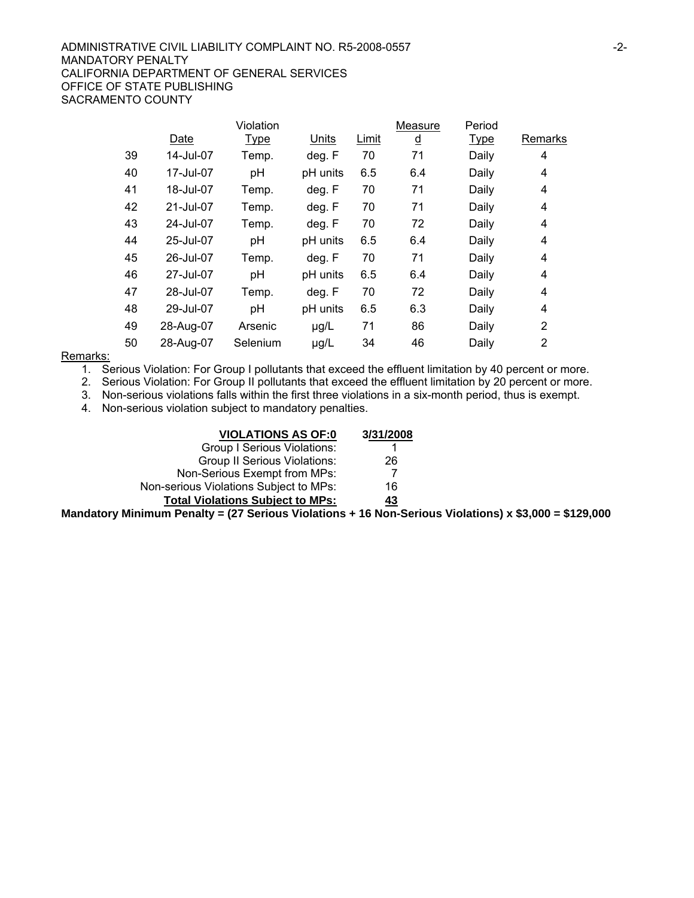#### ADMINISTRATIVE CIVIL LIABILITY COMPLAINT NO. R5-2008-0557  $-2$ -MANDATORY PENALTY CALIFORNIA DEPARTMENT OF GENERAL SERVICES OFFICE OF STATE PUBLISHING SACRAMENTO COUNTY

|    |           | Violation   |          |       | Measure  | Period      |                |
|----|-----------|-------------|----------|-------|----------|-------------|----------------|
|    | Date      | <b>Type</b> | Units    | Limit | <u>d</u> | <u>Type</u> | Remarks        |
| 39 | 14-Jul-07 | Temp.       | deg. F   | 70    | 71       | Daily       | 4              |
| 40 | 17-Jul-07 | pH          | pH units | 6.5   | 6.4      | Daily       | 4              |
| 41 | 18-Jul-07 | Temp.       | deg. F   | 70    | 71       | Daily       | 4              |
| 42 | 21-Jul-07 | Temp.       | deg. F   | 70    | 71       | Daily       | 4              |
| 43 | 24-Jul-07 | Temp.       | deg. F   | 70    | 72       | Daily       | 4              |
| 44 | 25-Jul-07 | pH          | pH units | 6.5   | 6.4      | Daily       | 4              |
| 45 | 26-Jul-07 | Temp.       | deg. F   | 70    | 71       | Daily       | 4              |
| 46 | 27-Jul-07 | pH          | pH units | 6.5   | 6.4      | Daily       | 4              |
| 47 | 28-Jul-07 | Temp.       | deg. F   | 70    | 72       | Daily       | 4              |
| 48 | 29-Jul-07 | pH          | pH units | 6.5   | 6.3      | Daily       | 4              |
| 49 | 28-Aug-07 | Arsenic     | µg/L     | 71    | 86       | Daily       | $\overline{2}$ |
| 50 | 28-Aug-07 | Selenium    | µg/L     | 34    | 46       | Daily       | 2              |
|    |           |             |          |       |          |             |                |

#### Remarks:

1. Serious Violation: For Group I pollutants that exceed the effluent limitation by 40 percent or more.

2. Serious Violation: For Group II pollutants that exceed the effluent limitation by 20 percent or more.

3. Non-serious violations falls within the first three violations in a six-month period, thus is exempt.

4. Non-serious violation subject to mandatory penalties.

| <b>VIOLATIONS AS OF:0</b>               | 3/31/2008 |
|-----------------------------------------|-----------|
| Group I Serious Violations:             |           |
| <b>Group II Serious Violations:</b>     | 26        |
| Non-Serious Exempt from MPs:            |           |
| Non-serious Violations Subject to MPs:  | 16        |
| <b>Total Violations Subject to MPs:</b> | <u>43</u> |
|                                         |           |

**Mandatory Minimum Penalty = (27 Serious Violations + 16 Non-Serious Violations) x \$3,000 = \$129,000**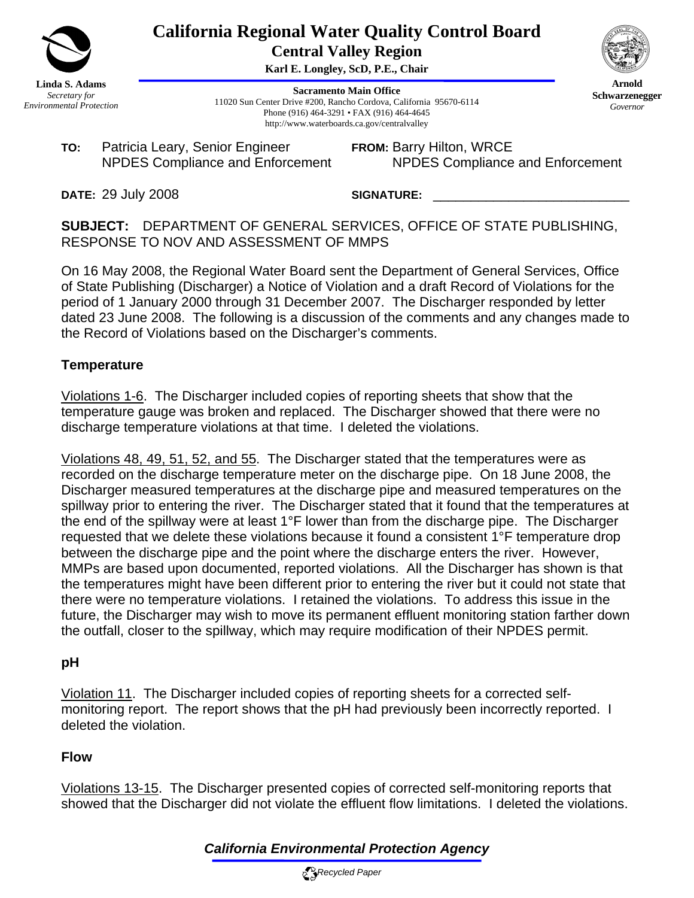

**California Regional Water Quality Control Board Central Valley Region** 

**Karl E. Longley, ScD, P.E., Chair**

**Sacramento Main Office** 11020 Sun Center Drive #200, Rancho Cordova, California 95670-6114 Phone (916) 464-3291 • FAX (916) 464-4645 http://www.waterboards.ca.gov/centralvalley

**TO:** Patricia Leary, Senior Engineer NPDES Compliance and Enforcement **FROM:** Barry Hilton, WRCE NPDES Compliance and Enforcement

**Arnold Schwarzenegger** *Governor* 

**DATE:** 29 July 2008

SIGNATURE:

**SUBJECT:** DEPARTMENT OF GENERAL SERVICES, OFFICE OF STATE PUBLISHING, RESPONSE TO NOV AND ASSESSMENT OF MMPS

On 16 May 2008, the Regional Water Board sent the Department of General Services, Office of State Publishing (Discharger) a Notice of Violation and a draft Record of Violations for the period of 1 January 2000 through 31 December 2007. The Discharger responded by letter dated 23 June 2008. The following is a discussion of the comments and any changes made to the Record of Violations based on the Discharger's comments.

## **Temperature**

Violations 1-6. The Discharger included copies of reporting sheets that show that the temperature gauge was broken and replaced. The Discharger showed that there were no discharge temperature violations at that time. I deleted the violations.

Violations 48, 49, 51, 52, and 55. The Discharger stated that the temperatures were as recorded on the discharge temperature meter on the discharge pipe. On 18 June 2008, the Discharger measured temperatures at the discharge pipe and measured temperatures on the spillway prior to entering the river. The Discharger stated that it found that the temperatures at the end of the spillway were at least 1°F lower than from the discharge pipe. The Discharger requested that we delete these violations because it found a consistent 1°F temperature drop between the discharge pipe and the point where the discharge enters the river. However, MMPs are based upon documented, reported violations. All the Discharger has shown is that the temperatures might have been different prior to entering the river but it could not state that there were no temperature violations. I retained the violations. To address this issue in the future, the Discharger may wish to move its permanent effluent monitoring station farther down the outfall, closer to the spillway, which may require modification of their NPDES permit.

## **pH**

Violation 11. The Discharger included copies of reporting sheets for a corrected selfmonitoring report. The report shows that the pH had previously been incorrectly reported. I deleted the violation.

## **Flow**

Violations 13-15. The Discharger presented copies of corrected self-monitoring reports that showed that the Discharger did not violate the effluent flow limitations. I deleted the violations.

# *California Environmental Protection Agency*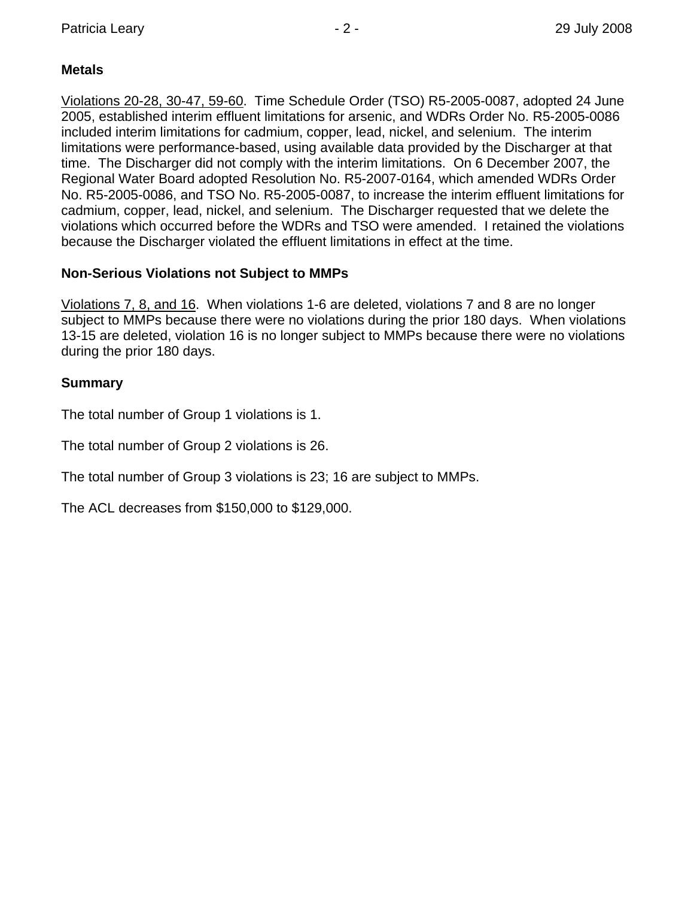## **Metals**

Violations 20-28, 30-47, 59-60. Time Schedule Order (TSO) R5-2005-0087, adopted 24 June 2005, established interim effluent limitations for arsenic, and WDRs Order No. R5-2005-0086 included interim limitations for cadmium, copper, lead, nickel, and selenium. The interim limitations were performance-based, using available data provided by the Discharger at that time. The Discharger did not comply with the interim limitations. On 6 December 2007, the Regional Water Board adopted Resolution No. R5-2007-0164, which amended WDRs Order No. R5-2005-0086, and TSO No. R5-2005-0087, to increase the interim effluent limitations for cadmium, copper, lead, nickel, and selenium. The Discharger requested that we delete the violations which occurred before the WDRs and TSO were amended. I retained the violations because the Discharger violated the effluent limitations in effect at the time.

## **Non-Serious Violations not Subject to MMPs**

Violations 7, 8, and 16. When violations 1-6 are deleted, violations 7 and 8 are no longer subject to MMPs because there were no violations during the prior 180 days. When violations 13-15 are deleted, violation 16 is no longer subject to MMPs because there were no violations during the prior 180 days.

### **Summary**

The total number of Group 1 violations is 1.

The total number of Group 2 violations is 26.

The total number of Group 3 violations is 23; 16 are subject to MMPs.

The ACL decreases from \$150,000 to \$129,000.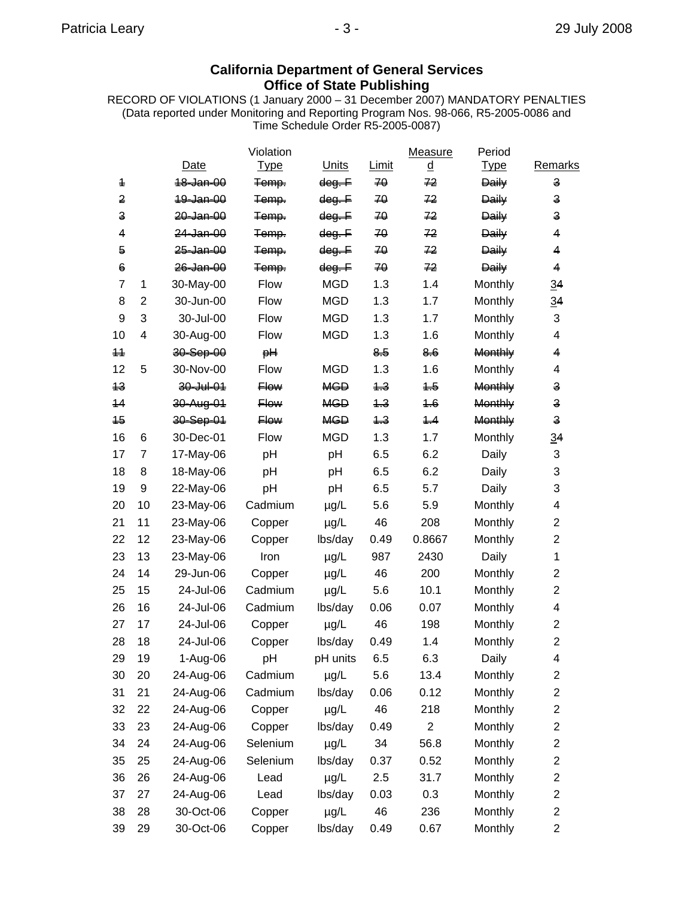## **California Department of General Services Office of State Publishing**

RECORD OF VIOLATIONS (1 January 2000 – 31 December 2007) MANDATORY PENALTIES (Data reported under Monitoring and Reporting Program Nos. 98-066, R5-2005-0086 and Time Schedule Order R5-2005-0087)

|                |                |                      | Violation   |                   |       | Measure                  | Period         |                         |
|----------------|----------------|----------------------|-------------|-------------------|-------|--------------------------|----------------|-------------------------|
|                |                | Date                 | <b>Type</b> | <b>Units</b>      | Limit | $\underline{\mathtt{d}}$ | <b>Type</b>    | <b>Remarks</b>          |
| 4              |                | 18-Jan-00            | Temp.       | dog. F            | 70    | 72                       | <b>Daily</b>   | 3                       |
| 2              |                | 10-Jan-00            | Temp.       | <del>dog. F</del> | 70    | 72                       | <b>Daily</b>   | $\mathsf{a}$            |
| $\mathbf{a}$   |                | 20-Jan-00            | Temp.       | <del>dog. F</del> | 70    | 72                       | <b>Daily</b>   | 3                       |
| $\overline{4}$ |                | 24-Jan-00            | Temp.       | $\theta$ eg. F    | 70    | 72                       | <b>Daily</b>   | 4                       |
| $\overline{6}$ |                | <del>25-Jan-00</del> | Temp.       | <del>dog. F</del> | 70    | 72                       | <b>Daily</b>   | 4                       |
| $\epsilon$     |                | 26-Jan-00            | Temp.       | dog. F            | 70    | 72                       | <b>Daily</b>   | 4                       |
| $\overline{7}$ | 1              | 30-May-00            | Flow        | <b>MGD</b>        | 1.3   | 1.4                      | Monthly        | $\overline{34}$         |
| 8              | $\overline{2}$ | 30-Jun-00            | Flow        | <b>MGD</b>        | 1.3   | 1.7                      | Monthly        | 34                      |
| 9              | 3              | 30-Jul-00            | Flow        | <b>MGD</b>        | 1.3   | 1.7                      | Monthly        | 3                       |
| 10             | 4              | 30-Aug-00            | Flow        | <b>MGD</b>        | 1.3   | 1.6                      | Monthly        | 4                       |
| $+4$           |                | 30-Sep-00            | H           |                   | 8.5   | 8.6                      | Monthly        | 4                       |
| 12             | 5              | 30-Nov-00            | Flow        | <b>MGD</b>        | 1.3   | 1.6                      | Monthly        | 4                       |
| 43             |                | $30 -$ Jul $-01$     | <b>Flow</b> | <b>MGD</b>        | $+3$  | $4 - 5$                  | Monthly        | 3                       |
| 44             |                | 30-Aug-01            | <b>Flow</b> | <b>MGD</b>        | 4.3   | 4.6                      | <b>Monthly</b> | 3                       |
| 45             |                | 30-Sep-01            | <b>Flow</b> | <b>MGD</b>        | $+3$  | 4.4                      | <b>Monthly</b> | s                       |
| 16             | 6              | 30-Dec-01            | Flow        | <b>MGD</b>        | 1.3   | 1.7                      | Monthly        | $\overline{34}$         |
| 17             | $\overline{7}$ | 17-May-06            | pH          | pH                | 6.5   | 6.2                      | Daily          | 3                       |
| 18             | 8              | 18-May-06            | pH          | pH                | 6.5   | 6.2                      | Daily          | 3                       |
| 19             | 9              | 22-May-06            | pH          | pH                | 6.5   | 5.7                      | Daily          | 3                       |
| 20             | 10             | 23-May-06            | Cadmium     | $\mu$ g/L         | 5.6   | 5.9                      | Monthly        | 4                       |
| 21             | 11             | 23-May-06            | Copper      | $\mu$ g/L         | 46    | 208                      | Monthly        | $\overline{2}$          |
| 22             | 12             | 23-May-06            | Copper      | lbs/day           | 0.49  | 0.8667                   | Monthly        | $\overline{2}$          |
| 23             | 13             | 23-May-06            | Iron        | $\mu$ g/L         | 987   | 2430                     | Daily          | 1                       |
| 24             | 14             | 29-Jun-06            | Copper      | $\mu$ g/L         | 46    | 200                      | Monthly        | $\overline{2}$          |
| 25             | 15             | 24-Jul-06            | Cadmium     | µg/L              | 5.6   | 10.1                     | Monthly        | $\overline{2}$          |
| 26             | 16             | 24-Jul-06            | Cadmium     | lbs/day           | 0.06  | 0.07                     | Monthly        | 4                       |
| 27             | 17             | 24-Jul-06            | Copper      | $\mu$ g/L         | 46    | 198                      | Monthly        | $\overline{2}$          |
| 28             | 18             | 24-Jul-06            | Copper      | lbs/day           | 0.49  | 1.4                      | Monthly        | $\overline{2}$          |
| 29             | 19             | 1-Aug-06             | pH          | pH units          | 6.5   | 6.3                      | Daily          | 4                       |
| 30             | 20             | 24-Aug-06            | Cadmium     | µg/L              | 5.6   | 13.4                     | Monthly        | $\overline{\mathbf{c}}$ |
| 31             | 21             | 24-Aug-06            | Cadmium     | lbs/day           | 0.06  | 0.12                     | Monthly        | $\overline{\mathbf{c}}$ |
| 32             | 22             | 24-Aug-06            | Copper      | µg/L              | 46    | 218                      | Monthly        | $\overline{\mathbf{c}}$ |
| 33             | 23             | 24-Aug-06            | Copper      | lbs/day           | 0.49  | $\overline{c}$           | Monthly        | $\overline{c}$          |
| 34             | 24             | 24-Aug-06            | Selenium    | µg/L              | 34    | 56.8                     | Monthly        | 2                       |
| 35             | 25             | 24-Aug-06            | Selenium    | lbs/day           | 0.37  | 0.52                     | Monthly        | $\overline{c}$          |
| 36             | 26             | 24-Aug-06            | Lead        | µg/L              | 2.5   | 31.7                     | Monthly        | 2                       |
| 37             | 27             | 24-Aug-06            | Lead        | lbs/day           | 0.03  | 0.3                      | Monthly        | $\overline{c}$          |
| 38             | 28             | 30-Oct-06            | Copper      | µg/L              | 46    | 236                      | Monthly        | $\overline{\mathbf{c}}$ |
| 39             | 29             | 30-Oct-06            | Copper      | lbs/day           | 0.49  | 0.67                     | Monthly        | $\overline{c}$          |